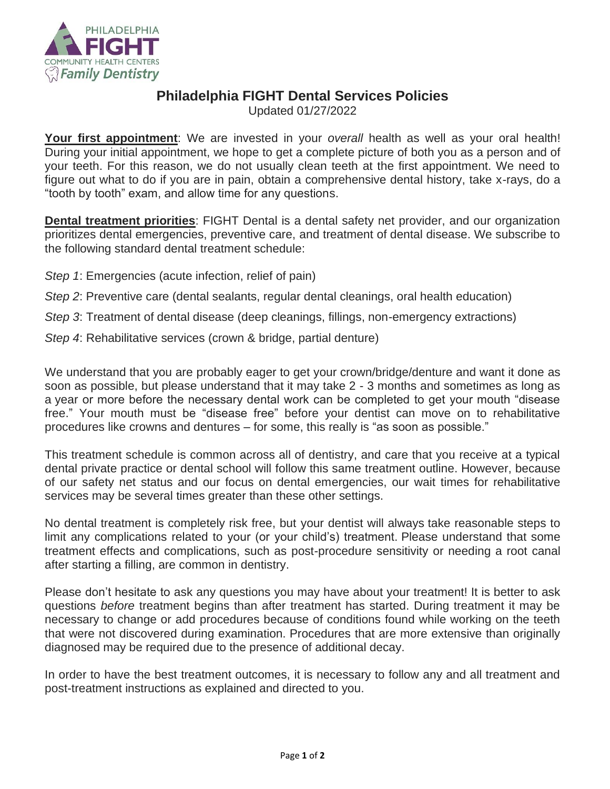

## **Philadelphia FIGHT Dental Services Policies**

Updated 01/27/2022

**Your first appointment**: We are invested in your *overall* health as well as your oral health! During your initial appointment, we hope to get a complete picture of both you as a person and of your teeth. For this reason, we do not usually clean teeth at the first appointment. We need to figure out what to do if you are in pain, obtain a comprehensive dental history, take x-rays, do a "tooth by tooth" exam, and allow time for any questions.

**Dental treatment priorities**: FIGHT Dental is a dental safety net provider, and our organization prioritizes dental emergencies, preventive care, and treatment of dental disease. We subscribe to the following standard dental treatment schedule:

- *Step 1*: Emergencies (acute infection, relief of pain)
- *Step 2*: Preventive care (dental sealants, regular dental cleanings, oral health education)

*Step 3*: Treatment of dental disease (deep cleanings, fillings, non-emergency extractions)

*Step 4*: Rehabilitative services (crown & bridge, partial denture)

We understand that you are probably eager to get your crown/bridge/denture and want it done as soon as possible, but please understand that it may take 2 - 3 months and sometimes as long as a year or more before the necessary dental work can be completed to get your mouth "disease free." Your mouth must be "disease free" before your dentist can move on to rehabilitative procedures like crowns and dentures – for some, this really is "as soon as possible."

This treatment schedule is common across all of dentistry, and care that you receive at a typical dental private practice or dental school will follow this same treatment outline. However, because of our safety net status and our focus on dental emergencies, our wait times for rehabilitative services may be several times greater than these other settings.

No dental treatment is completely risk free, but your dentist will always take reasonable steps to limit any complications related to your (or your child's) treatment. Please understand that some treatment effects and complications, such as post-procedure sensitivity or needing a root canal after starting a filling, are common in dentistry.

Please don't hesitate to ask any questions you may have about your treatment! It is better to ask questions *before* treatment begins than after treatment has started. During treatment it may be necessary to change or add procedures because of conditions found while working on the teeth that were not discovered during examination. Procedures that are more extensive than originally diagnosed may be required due to the presence of additional decay.

In order to have the best treatment outcomes, it is necessary to follow any and all treatment and post-treatment instructions as explained and directed to you.